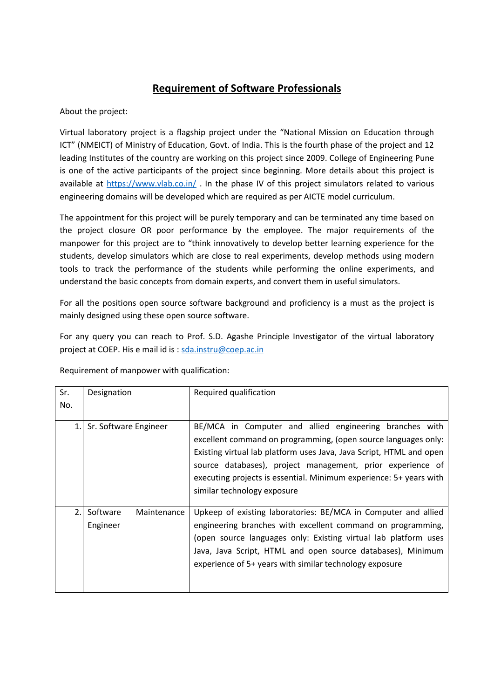## **Requirement of Software Professionals**

About the project:

Virtual laboratory project is a flagship project under the "National Mission on Education through ICT" (NMEICT) of Ministry of Education, Govt. of India. This is the fourth phase of the project and 12 leading Institutes of the country are working on this project since 2009. College of Engineering Pune is one of the active participants of the project since beginning. More details about this project is available at<https://www.vlab.co.in/>. In the phase IV of this project simulators related to various engineering domains will be developed which are required as per AICTE model curriculum.

The appointment for this project will be purely temporary and can be terminated any time based on the project closure OR poor performance by the employee. The major requirements of the manpower for this project are to "think innovatively to develop better learning experience for the students, develop simulators which are close to real experiments, develop methods using modern tools to track the performance of the students while performing the online experiments, and understand the basic concepts from domain experts, and convert them in useful simulators.

For all the positions open source software background and proficiency is a must as the project is mainly designed using these open source software.

For any query you can reach to Prof. S.D. Agashe Principle Investigator of the virtual laboratory project at COEP. His e mail id is [: sda.instru@coep.ac.in](mailto:sda.instru@coep.ac.in) 

| Sr. | Designation                         | Required qualification                                                                                                                                                                                                                                                                                                                                              |
|-----|-------------------------------------|---------------------------------------------------------------------------------------------------------------------------------------------------------------------------------------------------------------------------------------------------------------------------------------------------------------------------------------------------------------------|
| No. |                                     |                                                                                                                                                                                                                                                                                                                                                                     |
| 1.  | Sr. Software Engineer               | BE/MCA in Computer and allied engineering branches with<br>excellent command on programming, (open source languages only:<br>Existing virtual lab platform uses Java, Java Script, HTML and open<br>source databases), project management, prior experience of<br>executing projects is essential. Minimum experience: 5+ years with<br>similar technology exposure |
| 2.  | Software<br>Maintenance<br>Engineer | Upkeep of existing laboratories: BE/MCA in Computer and allied<br>engineering branches with excellent command on programming,<br>(open source languages only: Existing virtual lab platform uses<br>Java, Java Script, HTML and open source databases), Minimum<br>experience of 5+ years with similar technology exposure                                          |

Requirement of manpower with qualification: